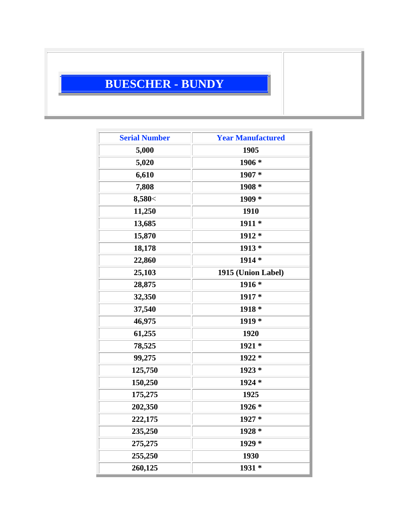## **BUESCHER - BUNDY**

| <b>Serial Number</b> | <b>Year Manufactured</b> |
|----------------------|--------------------------|
| 5,000                | 1905                     |
| 5,020                | 1906 *                   |
| 6,610                | 1907 *                   |
| 7,808                | 1908 *                   |
| 8,580<               | $1909*$                  |
| 11,250               | 1910                     |
| 13,685               | 1911 *                   |
| 15,870               | 1912 *                   |
| 18,178               | $1913*$                  |
| 22,860               | $1914*$                  |
| 25,103               | 1915 (Union Label)       |
| 28,875               | $1916*$                  |
| 32,350               | 1917 *                   |
| 37,540               | $1918*$                  |
| 46,975               | 1919 *                   |
| 61,255               | 1920                     |
| 78,525               | $1921*$                  |
| 99,275               | 1922 *                   |
| 125,750              | $1923*$                  |
| 150,250              | 1924 *                   |
| 175,275              | 1925                     |
| 202,350              | 1926 *                   |
| 222,175              | 1927 *                   |
| 235,250              | 1928 *                   |
| 275,275              | 1929 *                   |
| 255,250              | 1930                     |
| 260,125              | 1931 *                   |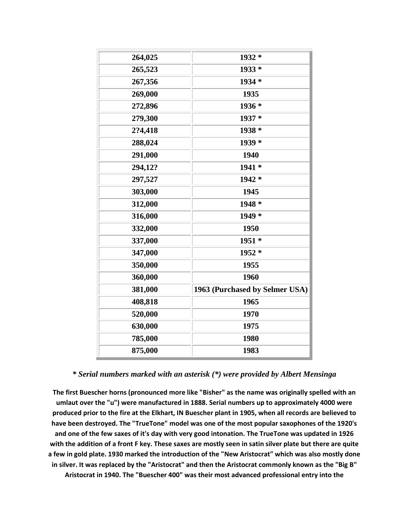| 264,025 | 1932 *                         |
|---------|--------------------------------|
| 265,523 | 1933 *                         |
| 267,356 | 1934 *                         |
| 269,000 | 1935                           |
| 272,896 | 1936 *                         |
| 279,300 | 1937 *                         |
| 2?4,418 | 1938 *                         |
| 288,024 | 1939 *                         |
| 291,000 | 1940                           |
| 294,12? | 1941 *                         |
| 297,527 | 1942 *                         |
| 303,000 | 1945                           |
| 312,000 | 1948 *                         |
| 316,000 | 1949 *                         |
| 332,000 | 1950                           |
| 337,000 | 1951 *                         |
| 347,000 | 1952 *                         |
| 350,000 | 1955                           |
| 360,000 | 1960                           |
| 381,000 | 1963 (Purchased by Selmer USA) |
| 408,818 | 1965                           |
| 520,000 | 1970                           |
| 630,000 | 1975                           |
| 785,000 | 1980                           |
| 875,000 | 1983                           |

## *\* Serial numbers marked with an asterisk (\*) were provided by Albert Mensinga*

**The first Buescher horns (pronounced more like "Bisher" as the name was originally spelled with an umlaut over the "u") were manufactured in 1888. Serial numbers up to approximately 4000 were produced prior to the fire at the Elkhart, IN Buescher plant in 1905, when all records are believed to have been destroyed. The "TrueTone" model was one of the most popular saxophones of the 1920's and one of the few saxes of it's day with very good intonation. The TrueTone was updated in 1926 with the addition of a front F key. These saxes are mostly seen in satin silver plate but there are quite a few in gold plate. 1930 marked the introduction of the "New Aristocrat" which was also mostly done in silver. It was replaced by the "Aristocrat" and then the Aristocrat commonly known as the "Big B" Aristocrat in 1940. The "Buescher 400" was their most advanced professional entry into the**